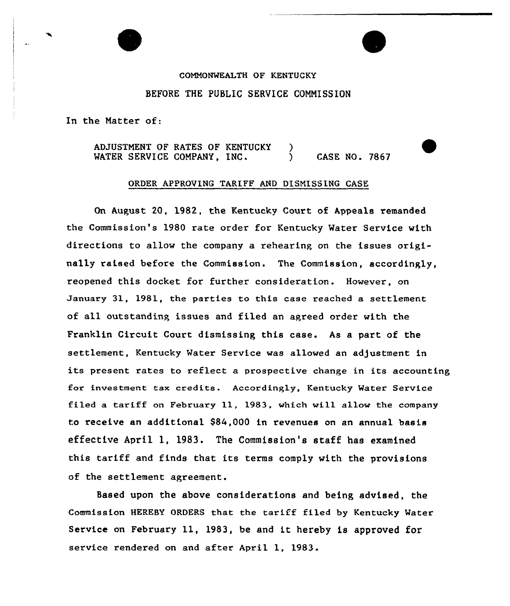## COMMONWEALTH OF KENTUCKY BEFORE THE PUBLIC SERVICE COMMISSION

In the Matter of:

ADJUSTMENT OF RATES OF KENTUCKY MATER SERVICE COMPANY, INC.  $\mathcal{L}$ } CASE NO. 7867

## ORDER APPROVING TARIFF AND DISMISSING CASE

On August 20, 1982, the Kentucky Court of Appeals remanded the Commission's 1980 rate order for Kentucky Water Service with directions to allow the company a rehearing on the issues originally raised before the Commission. The Commission, accordingly, reopened this docket for further consideration. However, on January 31, 1981, the parties to this case reached a settlement of all outstanding issues and filed an agreed order with the Franklin Circuit Court dismissing this case. As a part of the settlement, Kentucky Water Service was allowed an adjustment in its present rates to reflect a prospective change in its accounting for investment tax credits. Accordingly, Kentucky Water Service filed a tariff on February 11, 1983, which will allow the company to receive an additional \$84,000 in revenues on an annual basis effective April 1, 1983. The Commission's staff has examined this tariff and finds that its terms comply with the provisions of the settlement agreement.

Based upon the above considerations and being advised, the Commission HEREBY ORDERS that the tariff filed by Kentucky Mater Service on February ll, 1983, be and it hereby is approved for service rendered on and after April 1, 1983.